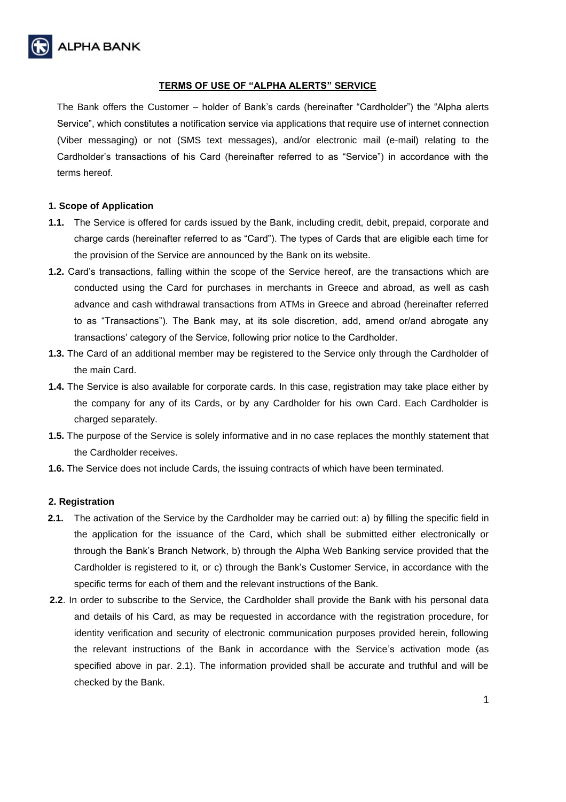

# **TERMS OF USE OF "ALPHA ALERTS" SERVICE**

The Bank offers the Customer – holder of Bank's cards (hereinafter "Cardholder") the "Alpha alerts Service", which constitutes a notification service via applications that require use of internet connection (Viber messaging) or not (SMS text messages), and/or electronic mail (e-mail) relating to the Cardholder's transactions of his Card (hereinafter referred to as "Service") in accordance with the terms hereof.

#### **1. Scope of Application**

- **1.1.** The Service is offered for cards issued by the Bank, including credit, debit, prepaid, corporate and charge cards (hereinafter referred to as "Card"). The types of Cards that are eligible each time for the provision of the Service are announced by the Bank on its website.
- **1.2.** Card's transactions, falling within the scope of the Service hereof, are the transactions which are conducted using the Card for purchases in merchants in Greece and abroad, as well as cash advance and cash withdrawal transactions from ATMs in Greece and abroad (hereinafter referred to as "Transactions"). The Bank may, at its sole discretion, add, amend or/and abrogate any transactions' category of the Service, following prior notice to the Cardholder.
- **1.3.** The Card of an additional member may be registered to the Service only through the Cardholder of the main Card.
- **1.4.** The Service is also available for corporate cards. In this case, registration may take place either by the company for any of its Cards, or by any Cardholder for his own Card. Each Cardholder is charged separately.
- **1.5.** The purpose of the Service is solely informative and in no case replaces the monthly statement that the Cardholder receives.
- **1.6.** The Service does not include Cards, the issuing contracts of which have been terminated.

#### **2. Registration**

- **2.1.** The activation of the Service by the Cardholder may be carried out: a) by filling the specific field in the application for the issuance of the Card, which shall be submitted either electronically or through the Bank's Branch Network, b) through the Alpha Web Banking service provided that the Cardholder is registered to it, or c) through the Bank's Customer Service, in accordance with the specific terms for each of them and the relevant instructions of the Bank.
- **2.2**. In order to subscribe to the Service, the Cardholder shall provide the Bank with his personal data and details of his Card, as may be requested in accordance with the registration procedure, for identity verification and security of electronic communication purposes provided herein, following the relevant instructions of the Bank in accordance with the Service's activation mode (as specified above in par. 2.1). The information provided shall be accurate and truthful and will be checked by the Bank.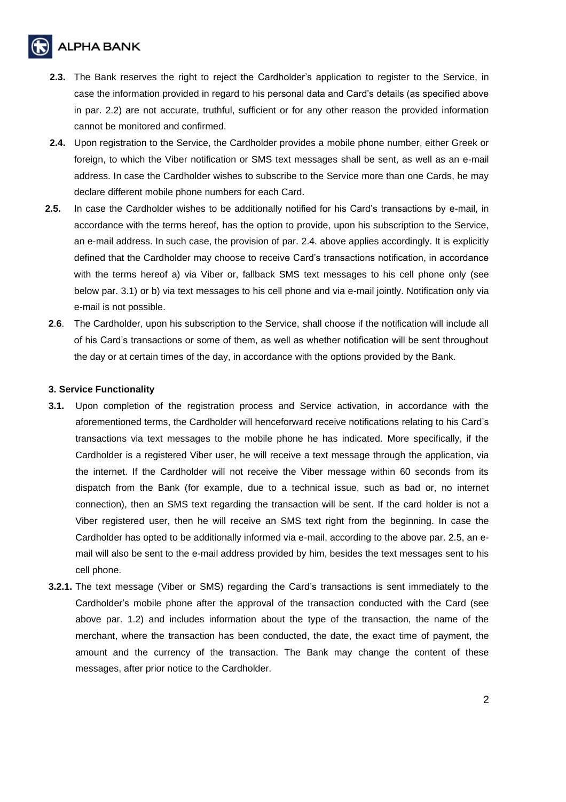# **ALPHA BANK**

- **2.3.** The Bank reserves the right to reject the Cardholder's application to register to the Service, in case the information provided in regard to his personal data and Card's details (as specified above in par. 2.2) are not accurate, truthful, sufficient or for any other reason the provided information cannot be monitored and confirmed.
- **2.4.** Upon registration to the Service, the Cardholder provides a mobile phone number, either Greek or foreign, to which the Viber notification or SMS text messages shall be sent, as well as an e-mail address. In case the Cardholder wishes to subscribe to the Service more than one Cards, he may declare different mobile phone numbers for each Card.
- **2.5.** In case the Cardholder wishes to be additionally notified for his Card's transactions by e-mail, in accordance with the terms hereof, has the option to provide, upon his subscription to the Service, an e-mail address. In such case, the provision of par. 2.4. above applies accordingly. It is explicitly defined that the Cardholder may choose to receive Card's transactions notification, in accordance with the terms hereof a) via Viber or, fallback SMS text messages to his cell phone only (see below par. 3.1) or b) via text messages to his cell phone and via e-mail jointly. Notification only via e-mail is not possible.
- **2**.**6**. The Cardholder, upon his subscription to the Service, shall choose if the notification will include all of his Card's transactions or some of them, as well as whether notification will be sent throughout the day or at certain times of the day, in accordance with the options provided by the Bank.

# **3. Service Functionality**

- **3.1.** Upon completion of the registration process and Service activation, in accordance with the aforementioned terms, the Cardholder will henceforward receive notifications relating to his Card's transactions via text messages to the mobile phone he has indicated. More specifically, if the Cardholder is a registered Viber user, he will receive a text message through the application, via the internet. If the Cardholder will not receive the Viber message within 60 seconds from its dispatch from the Bank (for example, due to a technical issue, such as bad or, no internet connection), then an SMS text regarding the transaction will be sent. If the card holder is not a Viber registered user, then he will receive an SMS text right from the beginning. In case the Cardholder has opted to be additionally informed via e-mail, according to the above par. 2.5, an email will also be sent to the e-mail address provided by him, besides the text messages sent to his cell phone.
- **3.2.1.** The text message (Viber or SMS) regarding the Card's transactions is sent immediately to the Cardholder's mobile phone after the approval of the transaction conducted with the Card (see above par. 1.2) and includes information about the type of the transaction, the name of the merchant, where the transaction has been conducted, the date, the exact time of payment, the amount and the currency of the transaction. The Bank may change the content of these messages, after prior notice to the Cardholder.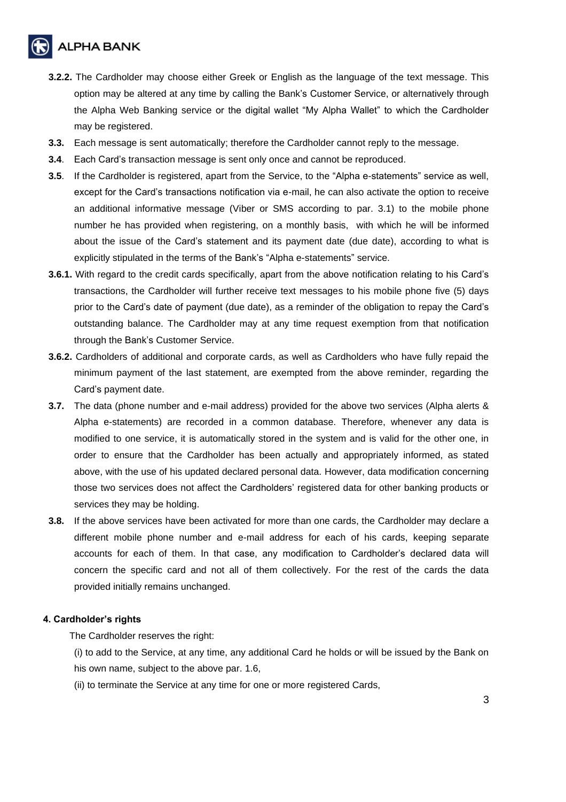**ALPHA BANK** 

- **3.2.2.** The Cardholder may choose either Greek or English as the language of the text message. This option may be altered at any time by calling the Bank's Customer Service, or alternatively through the Alpha Web Banking service or the digital wallet "My Alpha Wallet" to which the Cardholder may be registered.
- **3.3.** Each message is sent automatically; therefore the Cardholder cannot reply to the message.
- **3.4**. Each Card's transaction message is sent only once and cannot be reproduced.
- **3.5**. If the Cardholder is registered, apart from the Service, to the "Alpha e-statements" service as well, except for the Card's transactions notification via e-mail, he can also activate the option to receive an additional informative message (Viber or SMS according to par. 3.1) to the mobile phone number he has provided when registering, on a monthly basis, with which he will be informed about the issue of the Card's statement and its payment date (due date), according to what is explicitly stipulated in the terms of the Bank's "Alpha e-statements" service.
- **3.6.1.** With regard to the credit cards specifically, apart from the above notification relating to his Card's transactions, the Cardholder will further receive text messages to his mobile phone five (5) days prior to the Card's date of payment (due date), as a reminder of the obligation to repay the Card's outstanding balance. The Cardholder may at any time request exemption from that notification through the Bank's Customer Service.
- **3.6.2.** Cardholders of additional and corporate cards, as well as Cardholders who have fully repaid the minimum payment of the last statement, are exempted from the above reminder, regarding the Card's payment date.
- **3.7.** The data (phone number and e-mail address) provided for the above two services (Alpha alerts & Alpha e-statements) are recorded in a common database. Therefore, whenever any data is modified to one service, it is automatically stored in the system and is valid for the other one, in order to ensure that the Cardholder has been actually and appropriately informed, as stated above, with the use of his updated declared personal data. However, data modification concerning those two services does not affect the Cardholders' registered data for other banking products or services they may be holding.
- **3.8.** If the above services have been activated for more than one cards, the Cardholder may declare a different mobile phone number and e-mail address for each of his cards, keeping separate accounts for each of them. In that case, any modification to Cardholder's declared data will concern the specific card and not all of them collectively. For the rest of the cards the data provided initially remains unchanged.

#### **4. Cardholder's rights**

The Cardholder reserves the right:

(i) to add to the Service, at any time, any additional Card he holds or will be issued by the Bank on his own name, subject to the above par. 1.6,

(ii) to terminate the Service at any time for one or more registered Cards,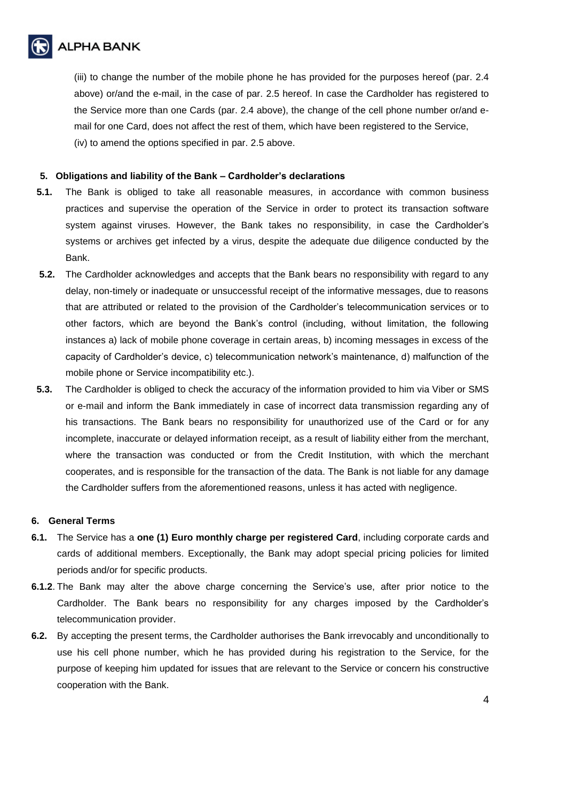

(iii) to change the number of the mobile phone he has provided for the purposes hereof (par. 2.4 above) or/and the e-mail, in the case of par. 2.5 hereof. In case the Cardholder has registered to the Service more than one Cards (par. 2.4 above), the change of the cell phone number or/and email for one Card, does not affect the rest of them, which have been registered to the Service, (iv) to amend the options specified in par. 2.5 above.

# **5. Obligations and liability of the Bank – Cardholder's declarations**

- **5.1.** The Bank is obliged to take all reasonable measures, in accordance with common business practices and supervise the operation of the Service in order to protect its transaction software system against viruses. However, the Bank takes no responsibility, in case the Cardholder's systems or archives get infected by a virus, despite the adequate due diligence conducted by the Bank.
- **5.2.** The Cardholder acknowledges and accepts that the Bank bears no responsibility with regard to any delay, non-timely or inadequate or unsuccessful receipt of the informative messages, due to reasons that are attributed or related to the provision of the Cardholder's telecommunication services or to other factors, which are beyond the Bank's control (including, without limitation, the following instances a) lack of mobile phone coverage in certain areas, b) incoming messages in excess of the capacity of Cardholder's device, c) telecommunication network's maintenance, d) malfunction of the mobile phone or Service incompatibility etc.).
- **5.3.** The Cardholder is obliged to check the accuracy of the information provided to him via Viber or SMS or e-mail and inform the Bank immediately in case of incorrect data transmission regarding any of his transactions. The Bank bears no responsibility for unauthorized use of the Card or for any incomplete, inaccurate or delayed information receipt, as a result of liability either from the merchant, where the transaction was conducted or from the Credit Institution, with which the merchant cooperates, and is responsible for the transaction of the data. The Bank is not liable for any damage the Cardholder suffers from the aforementioned reasons, unless it has acted with negligence.

#### **6. General Terms**

- **6.1.** The Service has a **one (1) Euro monthly charge per registered Card**, including corporate cards and cards of additional members. Exceptionally, the Bank may adopt special pricing policies for limited periods and/or for specific products.
- **6.1.2**. The Bank may alter the above charge concerning the Service's use, after prior notice to the Cardholder. The Bank bears no responsibility for any charges imposed by the Cardholder's telecommunication provider.
- **6.2.** By accepting the present terms, the Cardholder authorises the Bank irrevocably and unconditionally to use his cell phone number, which he has provided during his registration to the Service, for the purpose of keeping him updated for issues that are relevant to the Service or concern his constructive cooperation with the Bank.